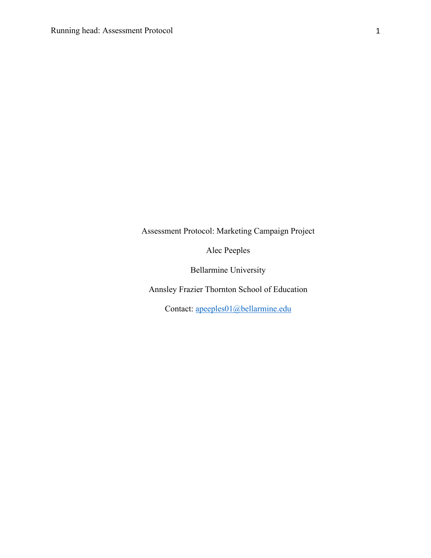Assessment Protocol: Marketing Campaign Project

Alec Peeples

Bellarmine University

Annsley Frazier Thornton School of Education

Contact: apeeples01@bellarmine.edu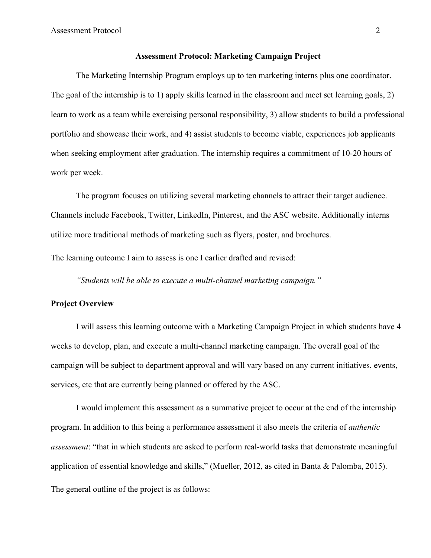#### **Assessment Protocol: Marketing Campaign Project**

The Marketing Internship Program employs up to ten marketing interns plus one coordinator. The goal of the internship is to 1) apply skills learned in the classroom and meet set learning goals, 2) learn to work as a team while exercising personal responsibility, 3) allow students to build a professional portfolio and showcase their work, and 4) assist students to become viable, experiences job applicants when seeking employment after graduation. The internship requires a commitment of 10-20 hours of work per week.

The program focuses on utilizing several marketing channels to attract their target audience. Channels include Facebook, Twitter, LinkedIn, Pinterest, and the ASC website. Additionally interns utilize more traditional methods of marketing such as flyers, poster, and brochures.

The learning outcome I aim to assess is one I earlier drafted and revised:

*"Students will be able to execute a multi-channel marketing campaign."*

### **Project Overview**

I will assess this learning outcome with a Marketing Campaign Project in which students have 4 weeks to develop, plan, and execute a multi-channel marketing campaign. The overall goal of the campaign will be subject to department approval and will vary based on any current initiatives, events, services, etc that are currently being planned or offered by the ASC.

I would implement this assessment as a summative project to occur at the end of the internship program. In addition to this being a performance assessment it also meets the criteria of *authentic assessment*: "that in which students are asked to perform real-world tasks that demonstrate meaningful application of essential knowledge and skills," (Mueller, 2012, as cited in Banta & Palomba, 2015). The general outline of the project is as follows: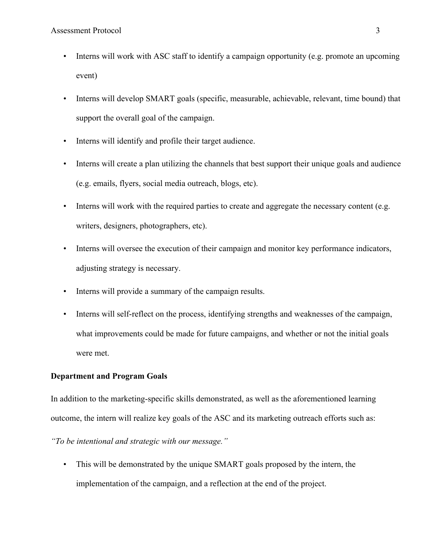- Interns will work with ASC staff to identify a campaign opportunity (e.g. promote an upcoming event)
- Interns will develop SMART goals (specific, measurable, achievable, relevant, time bound) that support the overall goal of the campaign.
- Interns will identify and profile their target audience.
- Interns will create a plan utilizing the channels that best support their unique goals and audience (e.g. emails, flyers, social media outreach, blogs, etc).
- Interns will work with the required parties to create and aggregate the necessary content (e.g. writers, designers, photographers, etc).
- Interns will oversee the execution of their campaign and monitor key performance indicators, adjusting strategy is necessary.
- Interns will provide a summary of the campaign results.
- Interns will self-reflect on the process, identifying strengths and weaknesses of the campaign, what improvements could be made for future campaigns, and whether or not the initial goals were met.

## **Department and Program Goals**

In addition to the marketing-specific skills demonstrated, as well as the aforementioned learning outcome, the intern will realize key goals of the ASC and its marketing outreach efforts such as:

*"To be intentional and strategic with our message."*

• This will be demonstrated by the unique SMART goals proposed by the intern, the implementation of the campaign, and a reflection at the end of the project.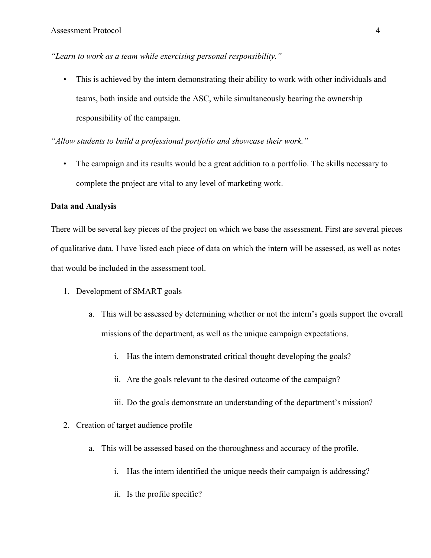*"Learn to work as a team while exercising personal responsibility."*

• This is achieved by the intern demonstrating their ability to work with other individuals and teams, both inside and outside the ASC, while simultaneously bearing the ownership responsibility of the campaign.

*"Allow students to build a professional portfolio and showcase their work."*

• The campaign and its results would be a great addition to a portfolio. The skills necessary to complete the project are vital to any level of marketing work.

### **Data and Analysis**

There will be several key pieces of the project on which we base the assessment. First are several pieces of qualitative data. I have listed each piece of data on which the intern will be assessed, as well as notes that would be included in the assessment tool.

- 1. Development of SMART goals
	- a. This will be assessed by determining whether or not the intern's goals support the overall missions of the department, as well as the unique campaign expectations.
		- i. Has the intern demonstrated critical thought developing the goals?
		- ii. Are the goals relevant to the desired outcome of the campaign?
		- iii. Do the goals demonstrate an understanding of the department's mission?
- 2. Creation of target audience profile
	- a. This will be assessed based on the thoroughness and accuracy of the profile.
		- i. Has the intern identified the unique needs their campaign is addressing?
		- ii. Is the profile specific?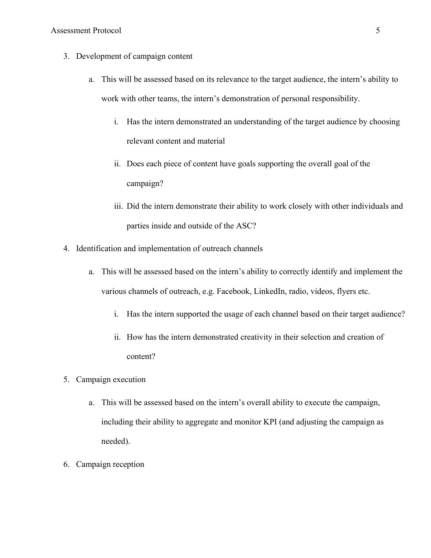- 3. Development of campaign content
	- a. This will be assessed based on its relevance to the target audience, the intern's ability to work with other teams, the intern's demonstration of personal responsibility.
		- i. Has the intern demonstrated an understanding of the target audience by choosing relevant content and material
		- ii. Does each piece of content have goals supporting the overall goal of the campaign?
		- iii. Did the intern demonstrate their ability to work closely with other individuals and parties inside and outside of the ASC?
- 4. Identification and implementation of outreach channels
	- a. This will be assessed based on the intern's ability to correctly identify and implement the various channels of outreach, e.g. Facebook, LinkedIn, radio, videos, flyers etc.
		- i. Has the intern supported the usage of each channel based on their target audience?
		- ii. How has the intern demonstrated creativity in their selection and creation of content?
- 5. Campaign execution
	- a. This will be assessed based on the intern's overall ability to execute the campaign, including their ability to aggregate and monitor KPI (and adjusting the campaign as needed).
- 6. Campaign reception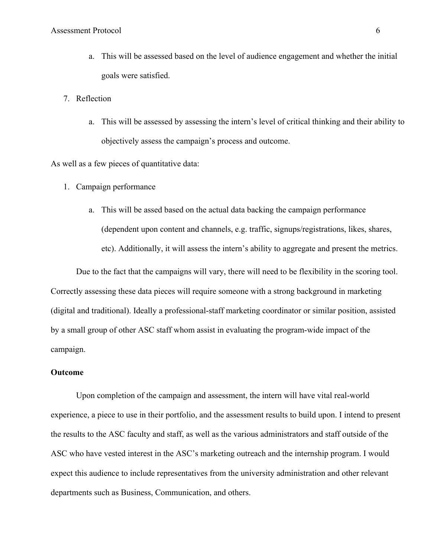- a. This will be assessed based on the level of audience engagement and whether the initial goals were satisfied.
- 7. Reflection
	- a. This will be assessed by assessing the intern's level of critical thinking and their ability to objectively assess the campaign's process and outcome.

As well as a few pieces of quantitative data:

- 1. Campaign performance
	- a. This will be assed based on the actual data backing the campaign performance (dependent upon content and channels, e.g. traffic, signups/registrations, likes, shares, etc). Additionally, it will assess the intern's ability to aggregate and present the metrics.

Due to the fact that the campaigns will vary, there will need to be flexibility in the scoring tool. Correctly assessing these data pieces will require someone with a strong background in marketing (digital and traditional). Ideally a professional-staff marketing coordinator or similar position, assisted by a small group of other ASC staff whom assist in evaluating the program-wide impact of the campaign.

# **Outcome**

Upon completion of the campaign and assessment, the intern will have vital real-world experience, a piece to use in their portfolio, and the assessment results to build upon. I intend to present the results to the ASC faculty and staff, as well as the various administrators and staff outside of the ASC who have vested interest in the ASC's marketing outreach and the internship program. I would expect this audience to include representatives from the university administration and other relevant departments such as Business, Communication, and others.